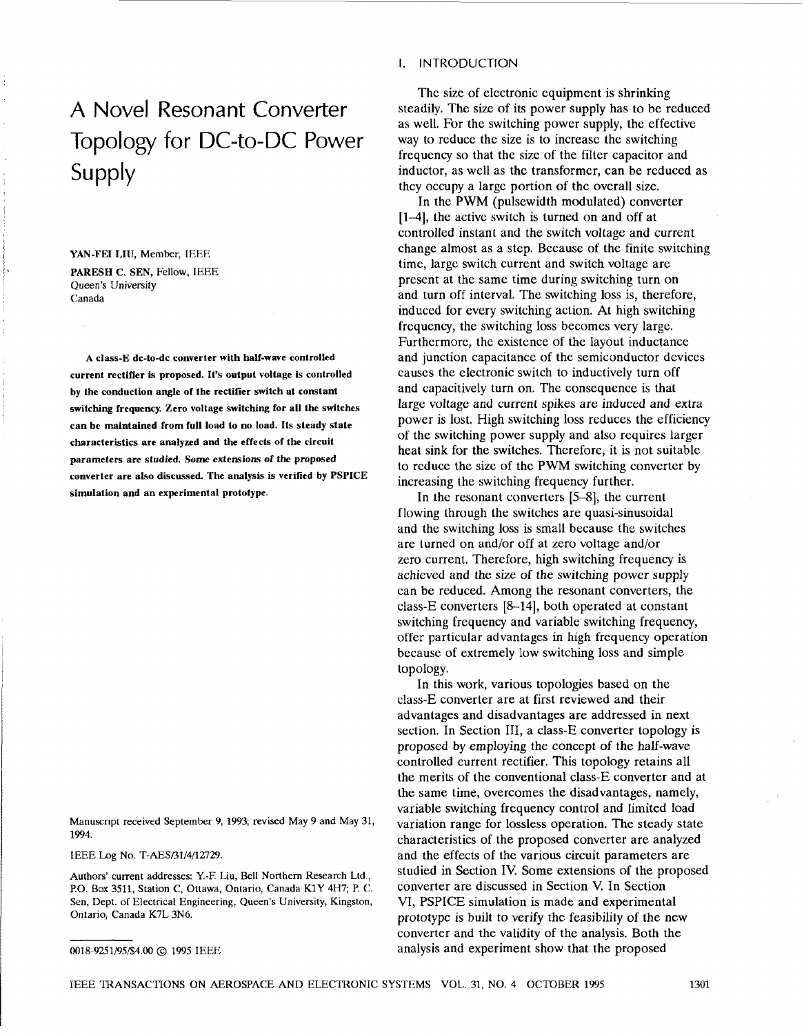# **A** Novel Resonant Converter Topology for DC-to-DC Power Supply

YAN-FEI LIU, Member, IEEE **(1 PARESIS C. SEN,** Fellow, IEEE Queen's University Canada

**A class-E dc-to-dc converter with half-wave controlled current rectifier is proposed. It's output voltage is controlled by the conduction angle of the rectifier switch at conslant switching frequency. Zero voltage switching for all the switches can be maintained from full load to no load. Its steady state characteristics are analyzed and the effects of the circuit parameters are studied. Some extensions** *of* **the proposed converter are also discussed. The analysis is verified by PSPICE simulation and an experimental prototype.** 

Manuscript received September **9,** 1993; revised May 9 and May 31, 1994.

IEEE Log No. T-AES/31/4/12729.

I

Authors' current addresses: Y.-E Liu, Bell Northern Research Ltd., P.O. Box 3511, Station C, Ottawa, Ontario, Canada K1Y **4H7;** P. C. Sen, Dept. **of** Electrical Engineering, Queen's University, Kingston, Ontario, Canada K7L 3N6.

### I. INTRODUCTION

The size of electronic equipment is shrinking steadily. The size of its power supply has to be reduced as well. For the switching power supply, the effective way to reduce the size is to increase the switching frequency so that the size of the filter capacitor and inductor, as well as the transformer, can be reduced as they occupy a large portion of the overall size.

In the PWM (pulsewidth modulated) converter [1–4], the active switch is turned on and off at controlled instant and the switch voltage and current change almost as a step. Because of the finite switching time, large switch current and switch voltage are present at the same time during switching turn on and turn off interval. The switching loss is, therefore, induced for every switching action. At high switching frequency, the switching loss becomes very large. Furthermore, the existence of the layout inductance and junction capacitance of the semiconductor devices causes the electronic switch to inductively turn off and capacitively turn on. The consequence is that large voltage and current spikes are induced and extra power is lost. High switching loss reduces the efficiency of the switching power supply and also requires larger heat sink for the switches. Therefore, it is not suitable to reduce the size of the PWM switching converter by increasing the switching frequency further.

In the resonant converters *[5-8],* the current flowing through the switches are quasi-sinusoidal and the switching loss is small because the switches are turned on and/or off at zero voltage and/or zero current. Therefore, high switching frequency is achieved and the size of the switching power supply can be reduced. Among the resonant converters, the class-E converters **[8-14],** both operated at constant switching frequency and variable switching frequency, offer particular advantages in high frequency operation because of extremely low switching loss and simple topology.

In this work, various topologies based on the class-E converter are at first reviewed and their advantages and disadvantages are addressed in next section. In Section III, a class-E converter topology is proposed by employing the concept of the half-wave controlled current rectifier. This topology retains all the merits of the conventional class-E converter and at the same time, overcomes the disadvantages, namely, variable switching frequency control and limited load variation range for lossless operation. The steady state characteristics of the proposed converter are analyzed and the effects of the various circuit parameters are studied in Section IV. Some extensions of the proposed converter are discussed in Section V. In Section VI, PSPICE simulation is made and experimental prototype is built to verify the feasibility of the new converter and the validity of the analysis. Both the analysis and experiment show that the proposed

<sup>0018-9251/95/%4.00</sup> @ 1995 IEEE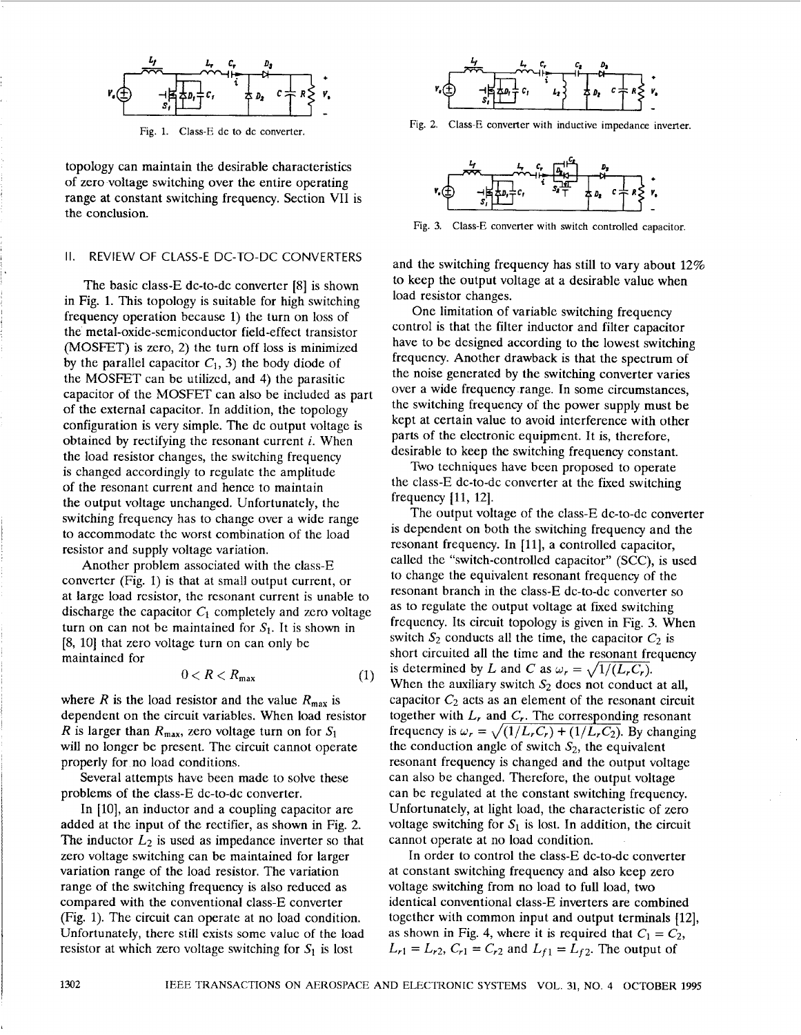<span id="page-1-0"></span>

Fig. 1. Class-E dc to dc converter.

topology can maintain the desirable characteristics of zero voltage switching over the entire operating range at constant switching frequency. Section VI1 is the conclusion.

# II. REVIEW OF **CLASS-E** DC-TO-DC CONVERTERS

The basic class-E dc-to-dc converter [8] is shown in Fig. **1.** This topology is suitable for high switching frequency operation because 1) the turn on loss of the metal-oxide-semiconductor field-effect transistor (MOSFET) is zero, 2) the turn off loss is minimized by the parallel capacitor  $C_1$ , 3) the body diode of the MOSFET can be utilized, and 4) the parasitic capacitor of the MOSFET can also be included as part of the external capacitor. In addition, the topology configuration is very simple. The dc output voltage is obtained by rectifying the resonant current *i.* When the load resistor changes, the switching frequency is changed accordingly to regulate the amplitude of the resonant current and hence to maintain the output voltage unchanged. Unfortunately, the switching frequency has to change over a wide range to accommodate the worst combination of the load resistor and supply voltage variation.

Another problem associated with the class-E converter (Fig. 1) is that at small output current, or at large load resistor, the resonant current is unable to discharge the capacitor  $C_1$  completely and zero voltage turn on can not be maintained for  $S_1$ . It is shown in [8, 10] that zero voltage turn on can only be maintained for

$$
0 < R < R_{\text{max}} \tag{1}
$$

where *R* is the load resistor and the value  $R_{\text{max}}$  is dependent on the circuit variables. When load resistor *R* is larger than  $R_{\text{max}}$ , zero voltage turn on for  $S_1$ will no longer be present. The circuit cannot operate properly for no load conditions.

problems of the class-E dc-to-dc converter. Several attempts have been made to solve these

added at the input of the rectifier, as shown in Fig. 2. The inductor  $L_2$  is used as impedance inverter so that zero voltage switching can be maintained for larger variation range of the load resistor. The variation range of the switching frequency is also reduced as compared with the conventional class-E converter (Fig. *1).* The circuit can operate at no load condition. Unfortunately, there still exists some value of the load resistor at which zero voltage switching for  $S_1$  is lost In [10], an inductor and a coupling capacitor are



Fig. *2.* Class-E converter with inductive impedance inverter.



Fig. **3.** Class-E converter with switch controlled capacitor.

and the switching frequency has still to vary about *12%*  to keep the output voltage at a desirable value when load resistor changes.

One limitation of variable switching frequency control is that the filter inductor and filter capacitor have to be designed according to the lowest switching frequency. Another drawback is that the spectrum of the noise generated by the switching converter varies over a wide frequency range. In some circumstances, the switching frequency of the power supply must be kept at certain value to avoid interference with other parts of the electronic equipment. It is, therefore, desirable to keep the switching frequency constant.

Two techniques have been proposed to operate the class-E dc-to-dc converter at the fixed switching frequency Ill, 121.

is dependent on both the switching frequency and the resonant frequency. In [ll], a controlled capacitor, called the "switch-controlled capacitor" *(SCC),* is used to change the equivalent resonant frequency of the resonant branch in the class-E dc-to-dc converter so as to regulate the output voltage at fixed switching frequency. **Its** circuit topology is given in Fig. *3.* When switch  $S_2$  conducts all the time, the capacitor  $C_2$  is short circuited all the time and the resonant frequency is determined by *L* and *C* as  $\omega_r = \sqrt{1/(L_r C_r)}$ . When the auxiliary switch  $S_2$  does not conduct at all, capacitor  $C_2$  acts as an element of the resonant circuit The output voltage of the class-E dc-to-dc converter together with  $L_r$  and  $C_r$ . The corresponding resonant frequency is  $\omega_r = \sqrt{(1/L_rC_r) + (1/L_rC_2)}$ . By changing the conduction angle of switch  $S_2$ , the equivalent resonant frequency is changed and the output voltage can also be changed. Therefore, the output voltage can be regulated at the constant switching frequency. Unfortunately, at light load, the characteristic of zero voltage switching for  $S_1$  is lost. In addition, the circuit cannot operate at no load condition.

at constant switching frequency and also keep zero voltage switching from no load to full load, two identical conventional class-E inverters are combined together with common input and output terminals [12], as shown in Fig. 4, where it is required that  $C_1 = C_2$ ,  $L_{r1} = L_{r2}$ ,  $C_{r1} = C_{r2}$  and  $L_{f1} = L_{f2}$ . The output of In order to control the class-E dc-to-dc converter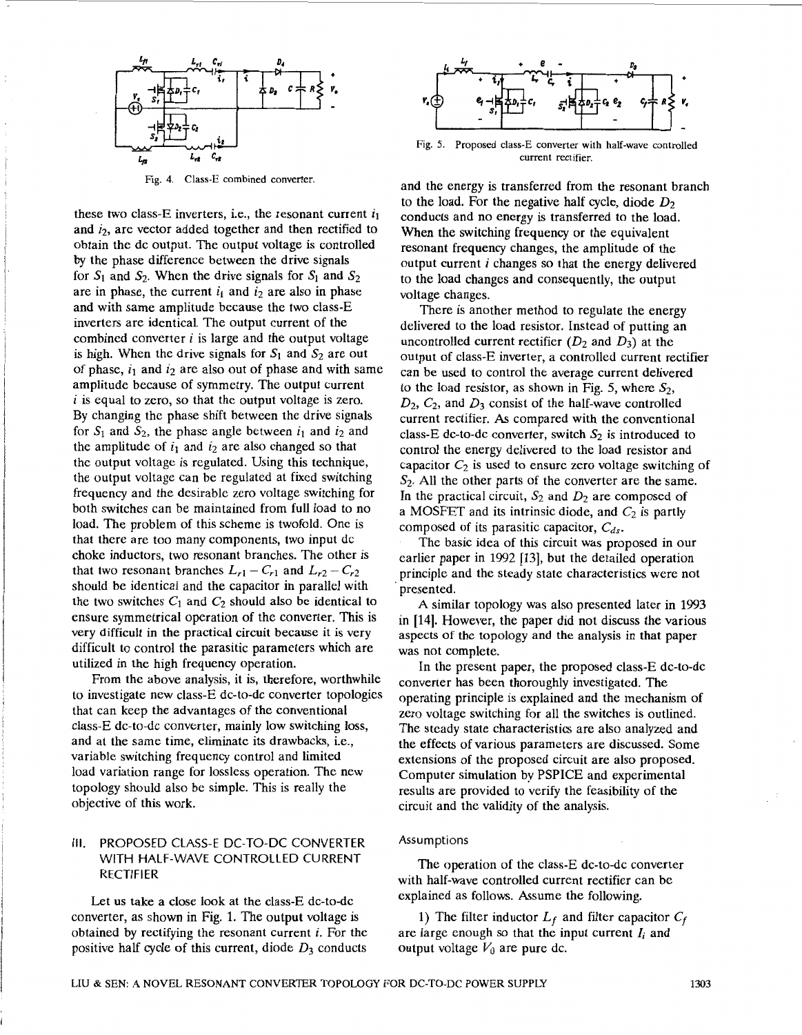

Fig. **4.** Class-E combined converter.

these two class-E inverters, i.e., the resonant current  $i_1$ and *i2,* are vector added together and then rectified to obtain the dc output. The output voltage is controlled by the phase difference between the drive signals for  $S_1$  and  $S_2$ . When the drive signals for  $S_1$  and  $S_2$ are in phase, the current  $i_1$  and  $i_2$  are also in phase and with same amplitude because the two class-E inverters are identical. The output current of the combined converter *i* is large and the output voltage is high. When the drive signals for  $S_1$  and  $S_2$  are out of phase,  $i_1$  and  $i_2$  are also out of phase and with same amplitude because of symmetry. The output current *i* is equal to zero, so that the output voltage is zero. By changing the phase shift between the drive signals for  $S_1$  and  $S_2$ , the phase angle between  $i_1$  and  $i_2$  and the amplitude of  $i_1$  and  $i_2$  are also changed so that the output voltage is regulated. Using this technique, the output voltage can be regulated at fixed switching frequency and the desirable zero voltage switching for both switches can be maintained from full load to no load. The problem of this scheme is twofold. One is that there are too many components, two input dc choke inductors, two resonant branches. The other is that two resonant branches  $L_{r1} - C_{r1}$  and  $L_{r2} - C_{r2}$ should be identical and the capacitor in parallel with the two switches  $C_1$  and  $C_2$  should also be identical to ensure symmetrical operation of the converter. This is very difficult in the practical circuit because it is very difficult to control the parasitic parameters which are utilized in the high frequency operation.

From the above analysis, it is, therefore, worthwhile to investigate new class-E dc-to-dc converter topologies that can keep the advantages of the conventional class-E dc-to-dc converter, mainly low switching loss, and at the same time, eliminate its drawbacks, i.e., variable switching frequency control and limited load variation range for lossless operation. The new topology should also be simple. This is really the objective of this work.

# **Ill.** PROPOSED CLASS-E DC-TO-DC CONVERTER WITH HALF-WAVE CONTROLLED CURRENT **RECTIFIER**

Let us take a close look at the class-E dc-to-dc converter, as shown in [Fig. 1.](#page-1-0) The output voltage is obtained by rectifying the resonant current *i.* For the positive half cycle of this current, diode *03* conducts



Fig, *5.* Proposed class-E converter with half-wave controlled current rectifier.

and the energy is transferred from the resonant branch to the load. For the negative half cycle, diode  $D<sub>2</sub>$ conducts and no energy is transferred to the load. When the switching frequency **or** the equivalent resonant frequency changes, the amplitude of the output current  $i$  changes so that the energy delivered to the load changes and consequently, the output voltage changes.

There is another method to regulate the energy delivered to the load resistor. Instead of putting an uncontrolled current rectifier  $(D_2 \text{ and } D_3)$  at the output of class-E inverter, a controlled current rectifier can be used to control the average current delivered to the load resistor, as shown in Fig. 5, where  $S_2$ ,  $D_2$ ,  $C_2$ , and  $D_3$  consist of the half-wave controlled current rectifier. **As** compared with the conventional class-E dc-to-dc converter, switch  $S_2$  is introduced to control the energy delivered to the load resistor and capacitor  $C_2$  is used to ensure zero voltage switching of *S2.* All the other parts of the converter are the same. In the practical circuit,  $S_2$  and  $D_2$  are composed of a MOSFET and its intrinsic diode, and  $C_2$  is partly composed of its parasitic capacitor, *cds.* 

The basic idea of this circuit was proposed in our earlier paper in 1992 **[13],** but the detailed operation principle and the steady state characteristics were not presented.

A similar topology was also presented later in **1993**  in **[14].** However, the paper did not discuss the various aspects of the topology and the analysis in that paper was not complete.

In the present paper, the proposed class-E dc-to-dc converter has been thoroughly investigated. The operating principle is explained and the mechanism of zero voltage switching for all the switches is outlined. The steady state characteristics are also analyzed and the effects of various parameters are discussed. Some extensions of the proposed circuit are also proposed. Computer simulation by PSPICE and experimental results are provided to verify the feasibility of the circuit and the validity of the analysis.

## Assumptions

with half-wave controlled current rectifier can be explained as follows. Assume the following. The operation of the class-E dc-to-dc converter

are large enough so that the input current *1;* and output voltage  $V_0$  are pure dc. 1) The filter inductor  $L_f$  and filter capacitor  $C_f$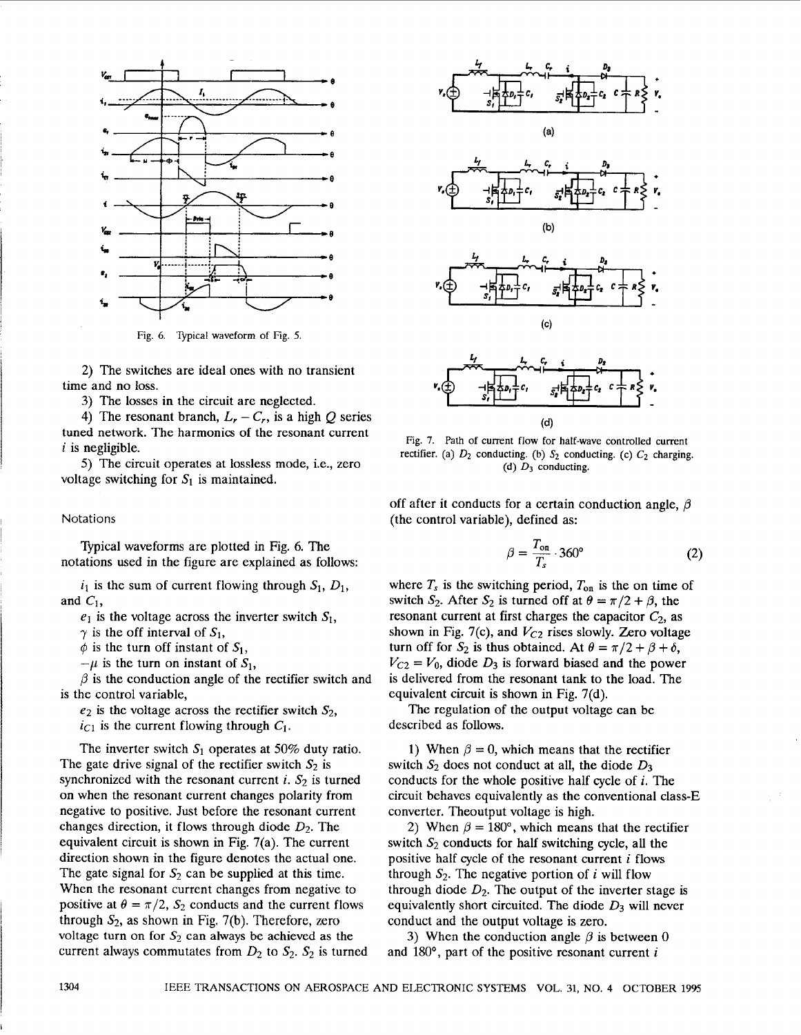<span id="page-3-0"></span>

Fig. 6. Typical waveform of Fig. 5.

2) The switches are ideal ones with no transient time and no loss.

*3)* The losses in the circuit are neglected.

4) The resonant branch,  $L_r - C_r$ , is a high Q series tuned network. The harmonics of the resonant current  $i$  is negligible.

voltage switching for  $S_1$  is maintained. *5)* The circuit operates at lossless mode, i.e., zero

## Notations

Typical waveforms are plotted in Fig. *6.* The notations used in the figure are explained as follows:

 $i_1$  is the sum of current flowing through  $S_1$ ,  $D_1$ , and  $C_1$ ,

 $e_1$  is the voltage across the inverter switch  $S_1$ ,

 $\gamma$  is the off interval of  $S_1$ ,

 $\phi$  is the turn off instant of  $S_1$ ,

 $-\mu$  is the turn on instant of  $S_1$ ,

 $\beta$  is the conduction angle of the rectifier switch and is the control variable,

 $e_2$  is the voltage across the rectifier switch  $S_2$ ,  $i_{C1}$  is the current flowing through  $C_1$ .

The inverter switch  $S_1$  operates at 50% duty ratio. The gate drive signal of the rectifier switch  $S_2$  is synchronized with the resonant current  $i$ .  $S_2$  is turned on when the resonant current changes polarity from negative to positive. Just before the resonant current changes direction, it flows through diode *D2.* The equivalent circuit **is** shown in Fig. 7(a). The current direction shown in the figure denotes the actual one. The gate signal for  $S_2$  can be supplied at this time. When the resonant current changes from negative to positive at  $\theta = \pi/2$ ,  $S_2$  conducts and the current flows through  $S_2$ , as shown in Fig. 7(b). Therefore, zero voltage turn on for  $S_2$  can always be achieved as the current always commutates from  $D_2$  to  $S_2$ .  $S_2$  is turned









Fig. **7.** Path of current flow for half-wave controlled current rectifier. (a)  $D_2$  conducting. (b)  $S_2$  conducting. (c)  $C_2$  charging. (d)  $D_3$  conducting.

off after it conducts for a certain conduction angle,  $\beta$ (the control variable), defined as:

$$
\beta = \frac{T_{\text{on}}}{T_s} \cdot 360^{\circ} \tag{2}
$$

where  $T_s$  is the switching period,  $T_{on}$  is the on time of switch *S*<sub>2</sub>. After *S*<sub>2</sub> is turned off at  $\theta = \pi/2 + \beta$ , the resonant current at first charges the capacitor  $C_2$ , as shown in Fig. 7(c), and  $V_{C2}$  rises slowly. Zero voltage turn off for  $S_2$  is thus obtained. At  $\theta = \pi/2 + \beta + \delta$ ,  $V_{C2} = V_0$ , diode  $D_3$  is forward biased and the power is delivered from the resonant tank to the load. The equivalent circuit is shown in Fig. 7(d).

The regulation of the output voltage can be described as follows.

1) When  $\beta = 0$ , which means that the rectifier switch *S2* does not conduct at all, the diode *D3*  conducts for the whole positive half cycle of *i.* The circuit behaves equivalently as the conventional class-E converter. Theoutput voltage is high.

2) When  $\beta = 180^{\circ}$ , which means that the rectifier switch  $S_2$  conducts for half switching cycle, all the positive half cycle of the resonant current *i* flows through  $S_2$ . The negative portion of *i* will flow through diode  $D_2$ . The output of the inverter stage is equivalently short circuited. The diode *D3* will never conduct and the output voltage is zero.

3) When the conduction angle  $\beta$  is between 0 and  $180^\circ$ , part of the positive resonant current *i*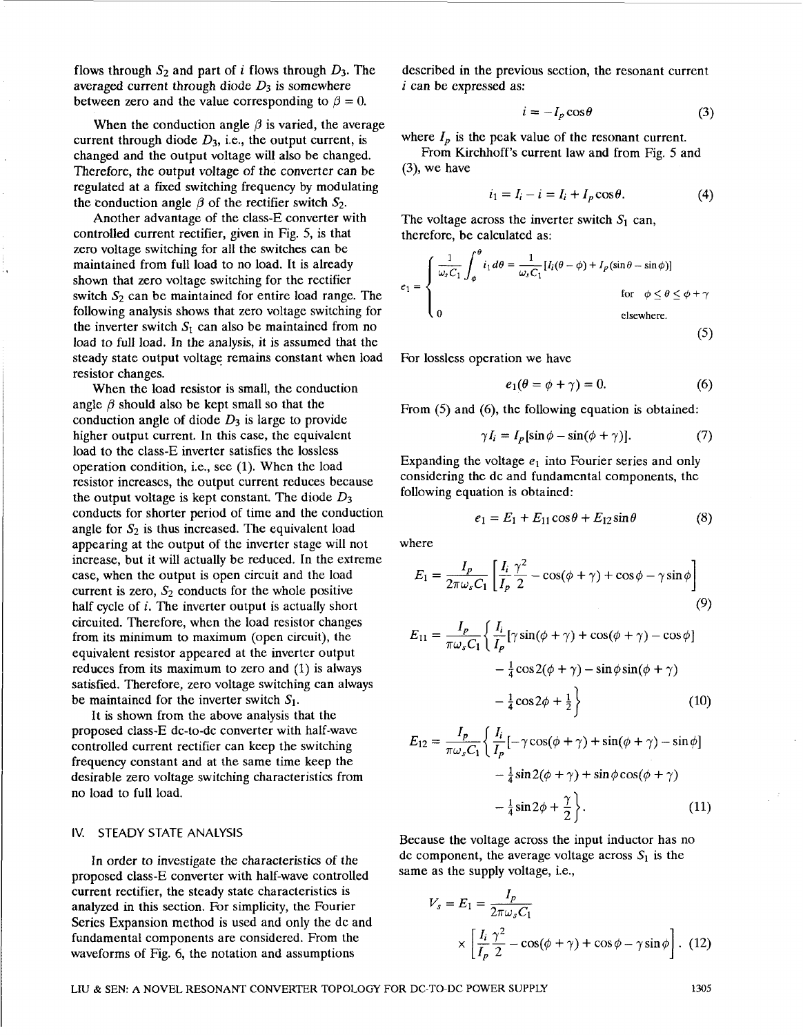flows through *S2* and part of *i* flows through *D3.* The averaged current through diode *D3* is somewhere between zero and the value corresponding to  $\beta = 0$ .

current through diode  $D_3$ , i.e., the output current, is changed and the output voltage will also be changed. Therefore, the output voltage of the converter can **be**  regulated at a fixed switching frequency by modulating the conduction angle  $\beta$  of the rectifier switch  $S_2$ . When the conduction angle  $\beta$  is varied, the average

Another advantage of the class-E converter with controlled current rectifier, given in Fig. *5,* is that zero voltage switching for all the switches can be maintained from full load to no load. It is already shown that zero voltage switching for the rectifier switch  $S_2$  can be maintained for entire load range. The following analysis shows that zero voltage switching for the inverter switch  $S_1$  can also be maintained from no load to full load. In the analysis, it is assumed that the steady state output voltage remains constant when load resistor changes.

When the load resistor is small, the conduction angle  $\beta$  should also be kept small so that the conduction angle of diode *D3* is large to provide higher output current. In this case, the equivalent load to the class-E inverter satisfies the lossless operation condition, i.e., see (1). When the load resistor increases, the output current reduces because the output voltage is kept constant. The diode *D3*  conducts for shorter period of time and the conduction angle for  $S_2$  is thus increased. The equivalent load appearing at the output of the inverter stage will not increase, but it will actually be reduced. In the extreme case, when the output is open circuit and the load current is zero,  $S_2$  conducts for the whole positive half cycle of *i.* The inverter output is actually short circuited. Therefore, when the load resistor changes from its minimum to maximum (open circuit), the equivalent resistor appeared at the inverter output reduces from its maximum to zero and (1) is always satisfied. Therefore, zero voltage switching can always be maintained for the inverter switch  $S_1$ .

It is shown from the above analysis that the proposed class-E dc-to-dc converter with half-wave controlled current rectifier can keep the switching frequency constant and at the same time keep the desirable zero voltage switching characteristics from no load to full load.

## **IV. STEADY STATE ANALYSIS**

In order to investigate the characteristics of the proposed class-E converter with half-wave controlled current rectifier, the steady state characteristics is analyzed in this section. For simplicity, the Fourier Series Expansion method is used and only the dc and fundamental components are considered. From the waveforms of Fig. *6,* the notation and assumptions

described in the previous section, the resonant current i can be expressed as:

$$
i = -I_p \cos \theta \tag{3}
$$

where  $I_p$  is the peak value of the resonant current.

**(3),** we have From Kirchhoff's current law and from Fig. *5* and

$$
i_1 = I_i - i = I_i + I_p \cos \theta.
$$
 (4)

The voltage across the inverter switch  $S_1$  can, therefore, be calculated as:

$$
e_1 = \begin{cases} \frac{1}{\omega_s C_1} \int_{\phi}^{\theta} i_1 d\theta = \frac{1}{\omega_s C_1} [I_i(\theta - \phi) + I_p(\sin \theta - \sin \phi)] \\ 0 \end{cases} \quad \text{for} \quad \phi \le \theta \le \phi + \gamma
$$
elsewhere. (5)

For lossless operation we have

$$
e_1(\theta = \phi + \gamma) = 0. \tag{6}
$$

From *(5)* and **(6),** the following equation is obtained:

$$
\gamma I_i = I_p[\sin \phi - \sin(\phi + \gamma)]. \tag{7}
$$

Expanding the voltage  $e_1$  into Fourier series and only considering the dc and fundamental components, the following equation is obtained:

$$
e_1 = E_1 + E_{11}\cos\theta + E_{12}\sin\theta \tag{8}
$$

where

$$
E_1 = \frac{I_p}{2\pi\omega_s C_1} \left[ \frac{I_i}{I_p} \frac{\gamma^2}{2} - \cos(\phi + \gamma) + \cos\phi - \gamma \sin\phi \right]
$$
(9)

$$
E_{11} = \frac{I_p}{\pi \omega_s C_1} \left\{ \frac{I_i}{I_p} [\gamma \sin(\phi + \gamma) + \cos(\phi + \gamma) - \cos \phi] - \frac{1}{4} \cos 2(\phi + \gamma) - \sin \phi \sin(\phi + \gamma) - \frac{1}{4} \cos 2\phi + \frac{1}{2} \right\}
$$
(10)

$$
E_{12} = \frac{I_p}{\pi \omega_s C_1} \left\{ \frac{I_i}{I_p} \left[ -\gamma \cos(\phi + \gamma) + \sin(\phi + \gamma) - \sin \phi \right] - \frac{1}{4} \sin 2(\phi + \gamma) + \sin \phi \cos(\phi + \gamma) - \frac{1}{4} \sin 2\phi + \frac{\gamma}{2} \right\}.
$$
 (11)

Because the voltage across the input inductor has no dc component, the average voltage across  $S_1$  is the same as the supply voltage, i.e.,

$$
V_s = E_1 = \frac{I_p}{2\pi\omega_s C_1}
$$
  
 
$$
\times \left[ \frac{I_i}{I_p} \frac{\gamma^2}{2} - \cos(\phi + \gamma) + \cos\phi - \gamma \sin\phi \right]. (12)
$$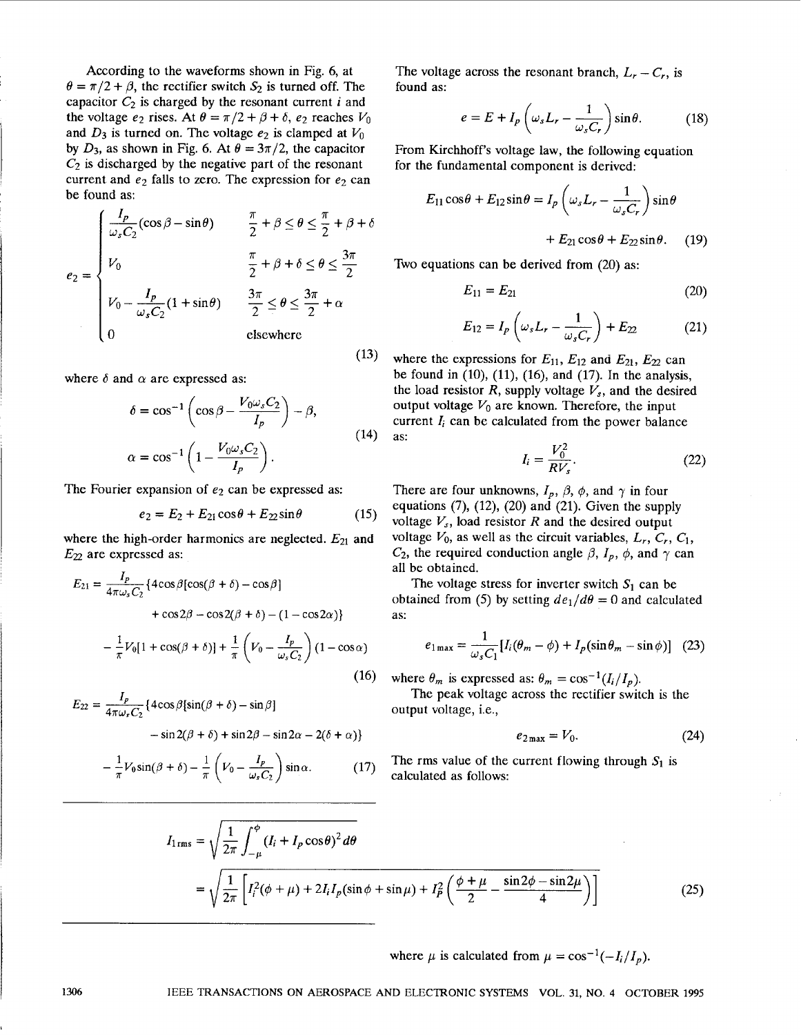According to the waveforms shown in Fig. **6,** at  $\theta = \pi/2 + \beta$ , the rectifier switch S<sub>2</sub> is turned off. The capacitor  $C_2$  is charged by the resonant current *i* and the voltage  $e_2$  rises. At  $\theta = \pi/2 + \beta + \delta$ ,  $e_2$  reaches  $V_0$ and  $D_3$  is turned on. The voltage  $e_2$  is clamped at  $V_0$ by  $D_3$ , as shown in [Fig.](#page-3-0) 6. At  $\theta = 3\pi/2$ , the capacitor  $C_2$  is discharged by the negative part of the resonant current and  $e_2$  falls to zero. The expression for  $e_2$  can be found as:

$$
e_2 = \begin{cases} \frac{I_p}{\omega_s C_2} (\cos \beta - \sin \theta) & \frac{\pi}{2} + \beta \le \theta \le \frac{\pi}{2} + \beta + \delta \\ V_0 & \frac{\pi}{2} + \beta + \delta \le \theta \le \frac{3\pi}{2} \\ V_0 - \frac{I_p}{\omega_s C_2} (1 + \sin \theta) & \frac{3\pi}{2} \le \theta \le \frac{3\pi}{2} + \alpha \\ 0 & \text{elsewhere} \end{cases}
$$

where  $\delta$  and  $\alpha$  are expressed as:

$$
\delta = \cos^{-1}\left(\cos\beta - \frac{V_0\omega_s C_2}{I_p}\right) - \beta,
$$
  
\n
$$
\alpha = \cos^{-1}\left(1 - \frac{V_0\omega_s C_2}{I_p}\right).
$$
\n(14)

(13)

The Fourier expansion of  $e_2$  can be expressed as:

$$
e_2 = E_2 + E_{21}\cos\theta + E_{22}\sin\theta \tag{15}
$$

where the high-order harmonics are neglected.  $E_{21}$  and  $E_{22}$  are expressed as:

the Fourier expansion of 
$$
e_2
$$
 can be expressed as:  
\n
$$
e_2 = E_2 + E_{21} \cos \theta + E_{22} \sin \theta
$$
\n(15)  
\nhere the high-order harmonics are neglected.  $E_{21}$  and  
\n
$$
E_{21} = \frac{I_p}{4\pi \omega_s C_2} \{4\cos \beta [\cos(\beta + \delta) - \cos \beta]
$$
\n
$$
+ \cos 2\beta - \cos 2(\beta + \delta) - (1 - \cos 2\alpha)\}
$$
\n
$$
- \frac{1}{\pi} V_0 [1 + \cos(\beta + \delta)] + \frac{1}{\pi} \left(V_0 - \frac{I_p}{\omega_s C_2}\right) (1 - \cos \alpha)
$$
\n(16)  
\n
$$
E_{22} = \frac{I_p}{4\pi \omega_s C_2} \{4\cos \beta [\sin(\beta + \delta) - \sin \beta]
$$
\n
$$
= \frac{\sin 2(\beta + \delta) + \sin 2\beta}{\sin 2\alpha} \sin 2\alpha \left(2(\delta + \delta)\right)
$$

$$
E_{22} = \frac{I_p}{4\pi\omega_s C_2} \{ 4\cos\beta[\sin(\beta + \delta) - \sin\beta]
$$

$$
-\sin 2(\beta + \delta) + \sin 2\beta - \sin 2\alpha - 2(\delta + \alpha) \}
$$

$$
-\frac{1}{\pi}V_0\sin(\beta + \delta) - \frac{1}{\pi}\left(V_0 - \frac{I_p}{\omega_s C_2}\right)\sin\alpha. \tag{17}
$$

$$
-\frac{1}{\pi}V_0\sin(\beta+\delta)-\frac{1}{\pi}\left(V_0-\frac{I_p}{\omega_sC_2}\right)\sin\alpha.\tag{17}
$$

The voltage across the resonant branch,  $L_r - C_r$ , is found as:

$$
e = E + I_p \left( \omega_s L_r - \frac{1}{\omega_s C_r} \right) \sin \theta.
$$
 (18)

From Kirchhoff's voltage law, the following equation for the fundamental component is derived:

$$
E_{11}\cos\theta + E_{12}\sin\theta = I_p \left(\omega_s L_r - \frac{1}{\omega_s C_r}\right) \sin\theta
$$

$$
+ E_{21}\cos\theta + E_{22}\sin\theta. \quad (19)
$$

Two equations can be derived from (20) as:

$$
E_{11} = E_{21} \tag{20}
$$

$$
E_{12} = I_p \left( \omega_s L_r - \frac{1}{\omega_s C_r} \right) + E_{22} \tag{21}
$$

where the expressions for  $E_{11}$ ,  $E_{12}$  and  $E_{21}$ ,  $E_{22}$  can be found in (10), (11), (16), and (17). In the analysis, the load resistor  $R$ , supply voltage  $V_s$ , and the desired output voltage  $V_0$  are known. Therefore, the input current  $I_i$  can be calculated from the power balance as:

$$
I_i = \frac{V_0^2}{RV_s}.\tag{22}
$$

There are four unknowns,  $I_p$ ,  $\beta$ ,  $\phi$ , and  $\gamma$  in four equations  $(7)$ ,  $(12)$ ,  $(20)$  and  $(21)$ . Given the supply voltage  $V_s$ , load resistor  $R$  and the desired output voltage  $V_0$ , as well as the circuit variables,  $L_r$ ,  $C_r$ ,  $C_1$ ,  $C_2$ , the required conduction angle  $\beta$ ,  $I_p$ ,  $\phi$ , and  $\gamma$  can all be obtained.

The voltage stress for inverter switch  $S_1$  can be obtained from (5) by setting  $de_1/d\theta = 0$  and calculated as:

$$
e_{1\max} = \frac{1}{\omega_s C_1} [I_i(\theta_m - \phi) + I_p(\sin \theta_m - \sin \phi)] \quad (23)
$$

where  $\theta_m$  is expressed as:  $\theta_m = \cos^{-1}(I_i/I_p)$ .

output voltage, i.e., The peak voltage across the rectifier switch is the

$$
e_{2\max} = V_0. \tag{24}
$$

The rms value of the current flowing through  $S_1$  is calculated as follows:

$$
I_{1\,\text{rms}} = \sqrt{\frac{1}{2\pi} \int_{-\mu}^{\phi} (I_i + I_p \cos \theta)^2 d\theta}
$$
  
=  $\sqrt{\frac{1}{2\pi} \left[ I_i^2 (\phi + \mu) + 2I_i I_p (\sin \phi + \sin \mu) + I_p^2 \left( \frac{\phi + \mu}{2} - \frac{\sin 2\phi - \sin 2\mu}{4} \right) \right]}$  (25)

where  $\mu$  is calculated from  $\mu = \cos^{-1}(-I_i/I_p)$ .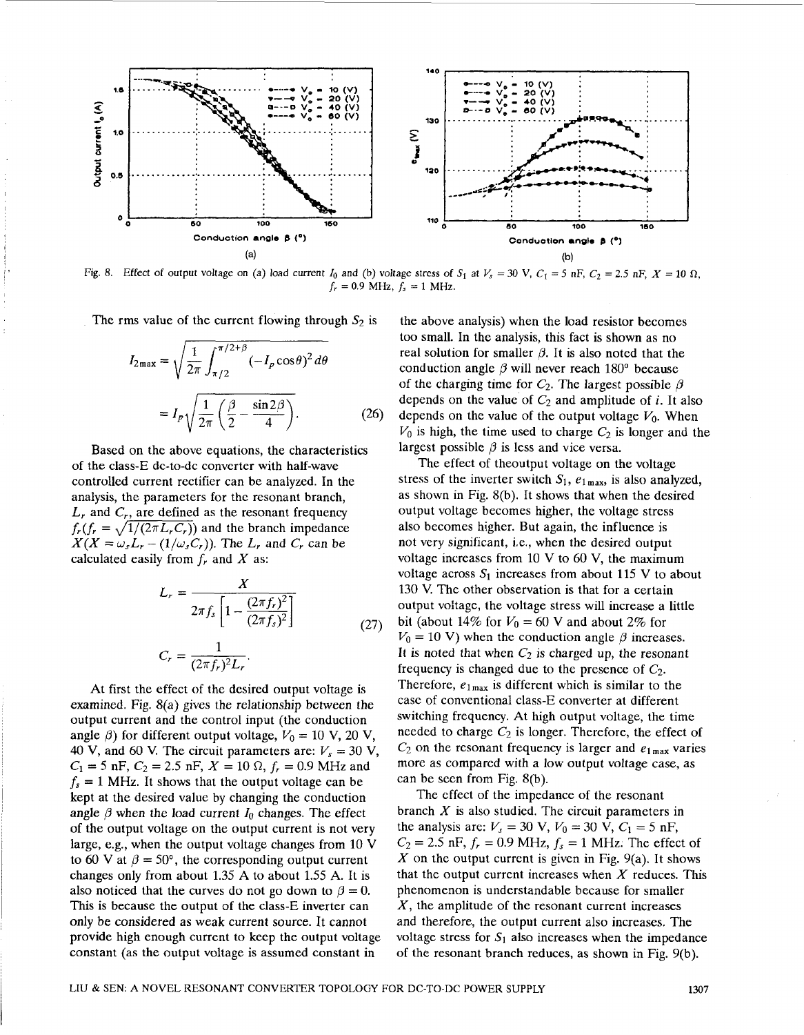

Fig. 8. Effect of output voltage on (a) load current  $I_0$  and (b) voltage stress of  $S_1$  at  $V_s = 30$  V,  $C_1 = 5$  nF,  $C_2 = 2.5$  nF,  $X = 10 \Omega$ ,  $f_r = 0.9 \text{ MHz}, f_s = 1 \text{ MHz}.$ 

The rms value of the current flowing through  $S_2$  is

$$
I_{2\max} = \sqrt{\frac{1}{2\pi} \int_{\pi/2}^{\pi/2+\beta} (-I_p \cos \theta)^2 d\theta}
$$

$$
= I_p \sqrt{\frac{1}{2\pi} \left(\frac{\beta}{2} - \frac{\sin 2\beta}{4}\right)}.
$$
(26)

Based on the above equations, the characteristics of the class-E dc-to-dc converter with half-wave controlled current rectifier can be analyzed. In the analysis, the parameters for the resonant branch,  $L_r$  and  $C_r$ , are defined as the resonant frequency  $f_r(f_r = \sqrt{\frac{1}{2\pi L_r C_r}})$  and the branch impedance  $X(X = \omega_s L_r - (1/\omega_s C_r))$ . The  $L_r$  and  $C_r$  can be calculated easily from  $f_r$  and  $X$  as:

$$
L_r = \frac{X}{2\pi f_s \left[1 - \frac{(2\pi f_r)^2}{(2\pi f_s)^2}\right]}
$$
  

$$
C_r = \frac{1}{(2\pi f_r)^2 L_r}.
$$
 (27)

At first the effect of the desired output voltage is examined. Fig. 8(a) gives the relationship between the output current and the control input (the conduction angle  $\beta$ ) for different output voltage,  $V_0 = 10$  V, 20 V, 40 V, and 60 V. The circuit parameters are:  $V_s = 30$  V,  $C_1 = 5$  nF,  $C_2 = 2.5$  nF,  $X = 10 \Omega$ ,  $f_r = 0.9$  MHz and  $f_s = 1$  MHz. It shows that the output voltage can be kept at the desired value by changing the conduction angle  $\beta$  when the load current  $I_0$  changes. The effect of the output voltage on the output current is not very large, *e.g.,* when the output voltage changes from **10** V to 60 V at  $\beta = 50^{\circ}$ , the corresponding output current changes only from about 1.35 A to about 1.55 A. It is also noticed that the curves do not go down to  $\beta = 0$ . This is because the output of the class-E inverter can only be considered as weak current source. It cannot provide high enough current to keep the output voltage constant (as the output voltage is assumed constant in

the above analysis) when the load resistor becomes too small. In the analysis, this fact is shown as no real solution for smaller  $\beta$ . It is also noted that the conduction angle  $\beta$  will never reach 180 $\degree$  because of the charging time for  $C_2$ . The largest possible  $\beta$ depends on the value of  $C_2$  and amplitude of *i*. It also depends on the value of the output voltage  $V_0$ . When  $V_0$  is high, the time used to charge  $C_2$  is longer and the largest possible  $\beta$  is less and vice versa.

The effect of theoutput voltage on the voltage stress of the inverter switch  $S_1$ ,  $e_{1\,\text{max}}$ , is also analyzed, as shown in Fig. 8(b). It shows that when the desired output voltage becomes higher, the voltage stress also becomes higher. But again, the influence is not very significant, i.e., when the desired output voltage increases from 10 V to 60 V, the maximum voltage across  $S_1$  increases from about 115 V to about **130 V.** The other observation is that for a certain output voltage, the voltage stress will increase a little bit (about 14% for  $V_0 = 60$  V and about 2% for  $V_0 = 10$  V) when the conduction angle  $\beta$  increases. It is noted that when  $C_2$  is charged up, the resonant frequency is changed due to the presence of *C2.*  Therefore,  $e_{1\text{max}}$  is different which is similar to the case of conventional class-E converter at different switching frequency. At high output voltage, the time needed to charge  $C_2$  is longer. Therefore, the effect of  $C_2$  on the resonant frequency is larger and  $e_{1\,\text{max}}$  varies more as compared with a low output voltage case, as can be seen from Fig. 8(b).

The effect of the impedance of the resonant branch *X* is also studied. The circuit parameters in the analysis are:  $V_s = 30 \text{ V}, V_0 = 30 \text{ V}, C_1 = 5 \text{ nF},$  $C_2 = 2.5$  nF,  $f_r = 0.9$  MHz,  $f_s = 1$  MHz. The effect of  $X$  on the output current is given in Fig. 9(a). It shows that the output current increases when *X* reduces. This phenomenon is understandable because for smaller *X,* the amplitude of the resonant current increases and therefore, the output current also increases. The voltage stress for  $S_1$  also increases when the impedance of the resonant branch reduces, as shown in Fig. 9(b).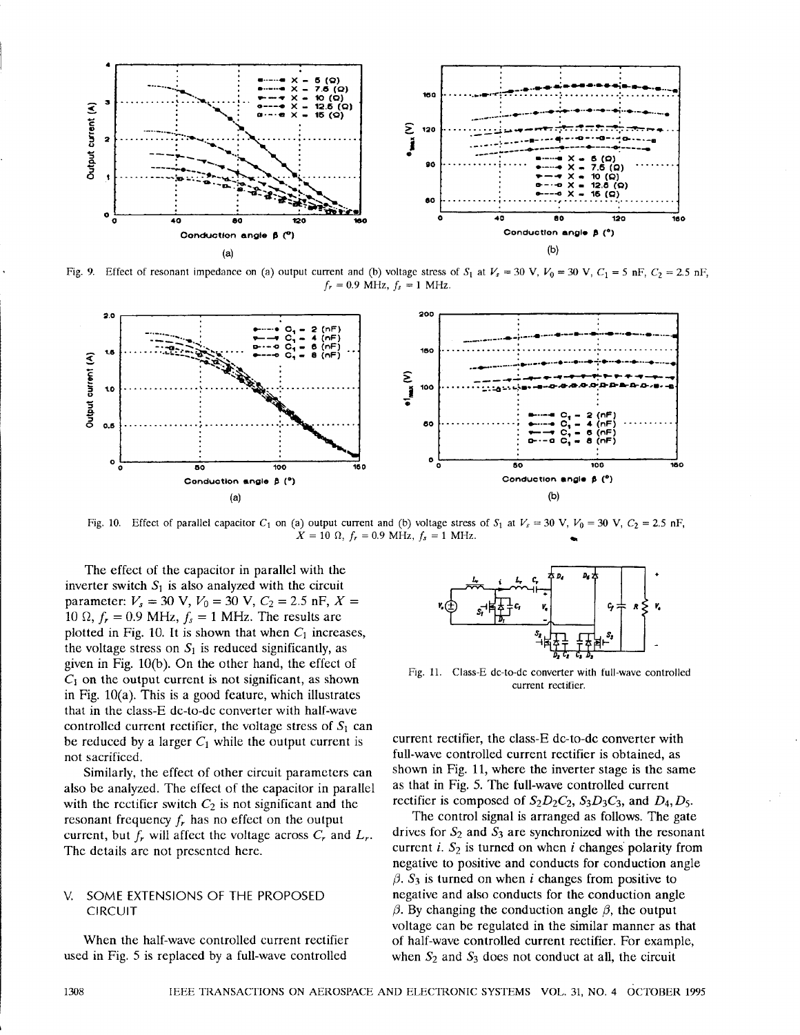

Fig. 9. Effect of resonant impedance on (a) output current and (b) voltage stress of  $S_1$  at  $V_s = 30$  V,  $V_0 = 30$  V,  $C_1 = 5$  nF,  $C_2 = 2.5$  nF,  $f_r = 0.9 \text{ MHz}, f_s = 1 \text{ MHz}.$ 



Fig. 10. Effect of parallel capacitor  $C_1$  on (a) output current and (b) voltage stress of  $S_1$  at  $V_s = 30$  V,  $V_0 = 30$  V,  $C_2 = 2.5$  nF,  $X = 10 \Omega$ ,  $f_r = 0.9 \text{ MHz}$ ,  $f_s = 1 \text{ MHz}$ .

The effect of the capacitor in parallel with the inverter switch  $S_1$  is also analyzed with the circuit parameter:  $V_s = 30 \text{ V}, V_0 = 30 \text{ V}, C_2 = 2.5 \text{ nF}, X =$ 10  $\Omega$ ,  $f_r = 0.9$  MHz,  $f_s = 1$  MHz. The results are plotted in Fig. 10. It is shown that when  $C_1$  increases, the voltage stress on  $S_1$  is reduced significantly, as given in Fig. 10(b). On the other hand, the effect of *C1* on the output current is not significant, as shown in Fig. lO(a). This is a good feature, which illustrates that in the class-E dc-to-dc converter with half-wave controlled current rectifier, the voltage stress of  $S_1$  can be reduced by a larger  $C_1$  while the output current is not sacrificed.

Similarly, the effect of other circuit parameters can also be analyzed. The effect of the capacitor in parallel with the rectifier switch  $C_2$  is not significant and the resonant frequency *f,* has no effect on the output current, but  $f_r$  will affect the voltage across  $C_r$  and  $L_r$ . The details are not presented here.

# V. SOME EXTENSIONS OF THE PROPOSED CIRCUIT

When the half-wave controlled current rectifier used in Fig. *5* is replaced by a full-wave controlled



Fig. 11. Class-E dc-to-dc converter with full-wave controlled current rectifier.

current rectifier, the class-E de-to-dc converter with full-wave controlled current rectifier is obtained, as shown in Fig. 11, where the inverter stage is the same as that in Fig. *5.* The full-wave controlled current rectifier is composed of  $S_2D_2C_2$ ,  $S_3D_3C_3$ , and  $D_4$ ,  $D_5$ .

The control signal is arranged as follows. The gate drives for  $S_2$  and  $S_3$  are synchronized with the resonant current *i.*  $S_2$  is turned on when *i* changes polarity from negative to positive and conducts for conduction angle  $\beta$ .  $S_3$  is turned on when *i* changes from positive to negative and also conducts for the conduction angle  $\beta$ . By changing the conduction angle  $\beta$ , the output voltage can be regulated in the similar manner as that of half-wave controlled current rectifier. For example, when  $S_2$  and  $S_3$  does not conduct at all, the circuit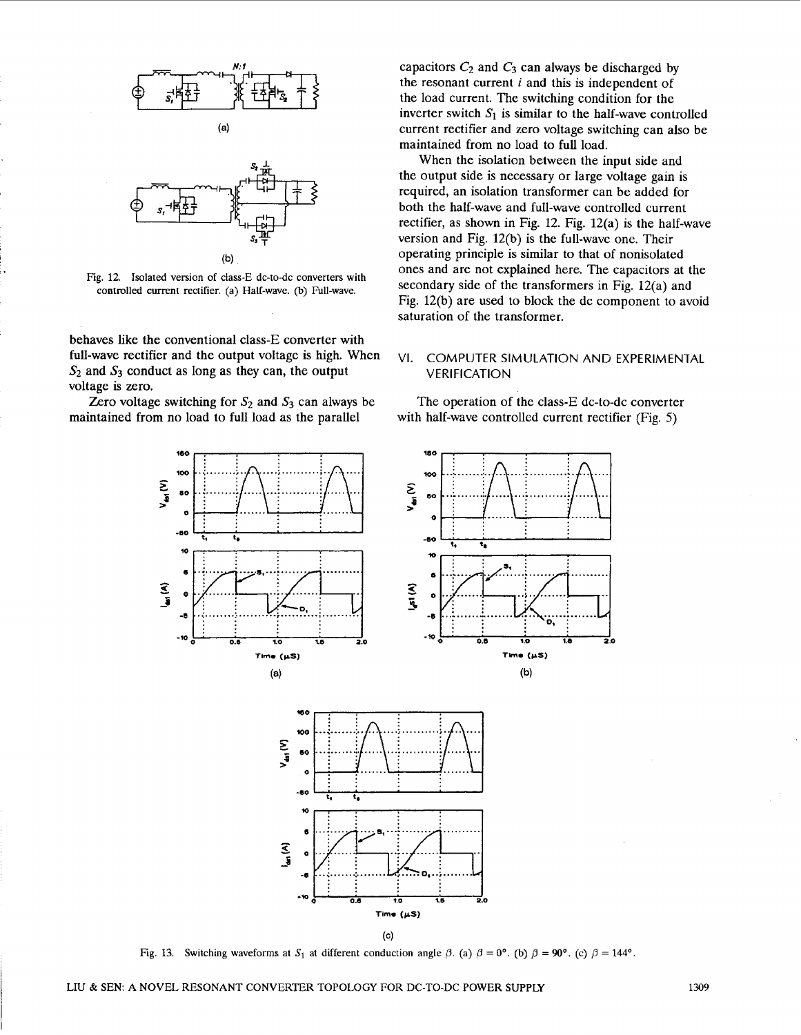<span id="page-8-0"></span>



Fig. **12.** Isolated version of class-E dc-to-dc converters with controlled current rectifier. (a) Half-wave. **(b)** Full-wave.

behaves like the conventional class-E converter with full-wave rectifier and the output voltage is high. When *S2* and *S3* conduct as long as they can, the output voltage is zero.

maintained from no load to full load as the parallel Zero voltage switching for  $S_2$  and  $S_3$  can always be

capacitors  $C_2$  and  $C_3$  can always be discharged by the resonant current *i* and this is independent of the load current. The switching condition for the inverter switch  $S_1$  is similar to the half-wave controlled current rectifier and zero voltage switching can also be maintained from no load to full load.

When the isolation between the input side and the output side is necessary or large voltage gain is required, an isolation transformer can be added for both the half-wave and full-wave controlled current rectifier, as shown in Fig. **12.** Fig. 12(a) is the half-wave version and Fig. 12(b) is the full-wave one. Their operating principle is similar to that of nonisolated ones and are not explained here. The capacitors at the secondary side of the transformers in Fig. 12(a) and Fig. 12(b) are used to block the dc component to avoid saturation of the transformer.

# VI. COMPUTER SIMULATION AND EXPERIMENTAL **VERIFICATION**

The operation of the class-E dc-to-dc converter with half-wave controlled current rectifier (Fig. *5)* 





Fig. 13. Switching waveforms at  $S_1$  at different conduction angle  $\beta$ . (a)  $\beta = 0^\circ$ . (b)  $\beta = 90^\circ$ . (c)  $\beta = 144^\circ$ .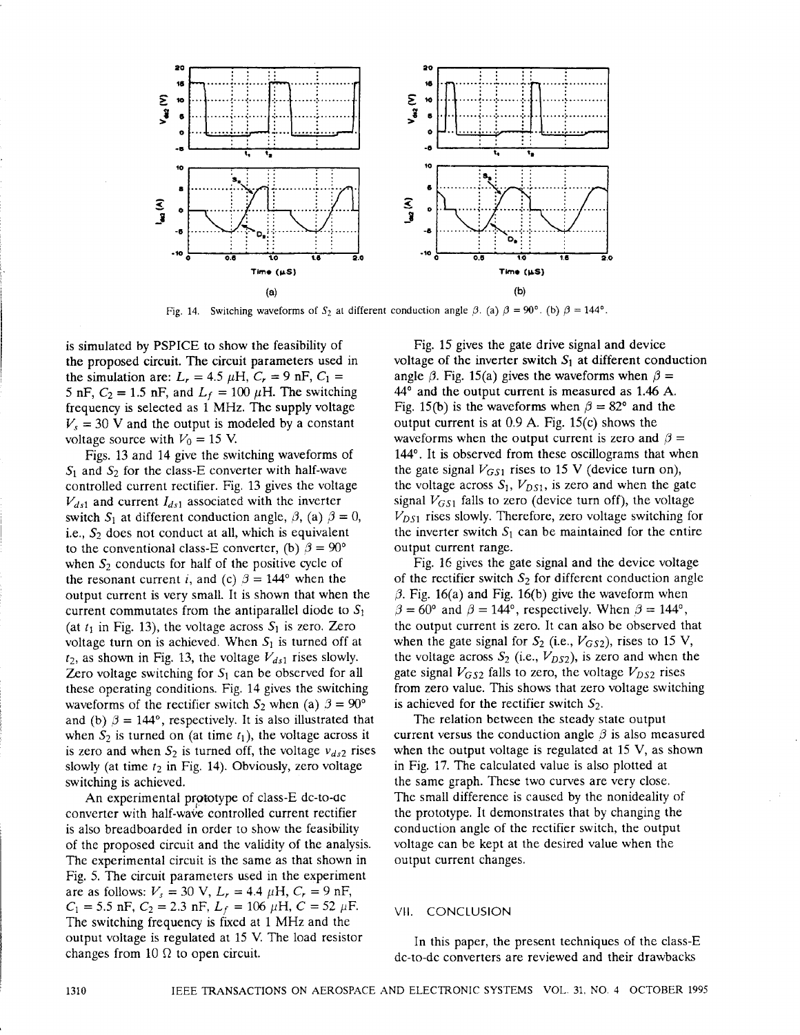

Fig. 14. Switching waveforms of  $S_2$  at different conduction angle  $\beta$ . (a)  $\beta = 90^\circ$ . (b)  $\beta = 144^\circ$ .

is simulated by SPICE to show the feasibility of the proposed circuit. The circuit parameters used in the simulation are:  $L_r = 4.5 \mu H$ ,  $C_r = 9 \text{ nF}$ ,  $C_1 =$ 5 nF,  $C_2 = 1.5$  nF, and  $L_f = 100 \mu$ H. The switching frequency is selected as 1 MHz. The supply voltage  $V<sub>s</sub> = 30$  V and the output is modeled by a constant voltage source with  $V_0 = 15$  V.

[Figs.](#page-8-0) **13** and 14 give the switching waveforms of  $S_1$  and  $S_2$  for the class-E converter with half-wave controlled current rectifier. [Fig. 13](#page-8-0) gives the voltage  $V_{ds1}$  and current  $I_{ds1}$  associated with the inverter switch  $S_1$  at different conduction angle,  $\beta$ , (a)  $\beta = 0$ , i.e.,  $S_2$  does not conduct at all, which is equivalent to the conventional class-E converter, (b)  $\beta = 90^{\circ}$ when  $S_2$  conducts for half of the positive cycle of the resonant current *i*, and (c)  $\beta = 144^{\circ}$  when the output current is very small. It is shown that when the current commutates from the antiparallel diode to  $S_1$ (at  $t_1$  in [Fig. 13\),](#page-8-0) the voltage across  $S_1$  is zero. Zero voltage turn on is achieved. When  $S_1$  is turned off at  $t_2$ , as shown in [Fig. 13](#page-8-0), the voltage  $V_{ds1}$  rises slowly. Zero voltage switching for  $S_1$  can be observed for all these operating conditions. Fig. 14 gives the switching waveforms of the rectifier switch  $S_2$  when (a)  $\beta = 90^\circ$ and (b)  $\beta = 144^{\circ}$ , respectively. It is also illustrated that when  $S_2$  is turned on (at time  $t_1$ ), the voltage across it is zero and when  $S_2$  is turned off, the voltage  $v_{ds2}$  rises slowly (at time  $t_2$  in Fig. 14). Obviously, zero voltage switching is achieved.

An experimental prototype of class-E dc-to-dc converter with half-wave controlled current rectifier is also breadboarded in order to show the feasibility of the proposed circuit and the validity of the analysis. The experimental circuit is the same as that shown in Fig. *5.* The circuit parameters used in the experiment are as follows:  $V_s = 30 \text{ V}$ ,  $L_r = 4.4 \mu\text{H}$ ,  $C_r = 9 \text{ nF}$ ,  $C_1 = 5.5$  nF,  $C_2 = 2.3$  nF,  $L_f = 106 \mu$ H,  $C = 52 \mu$ F. The switching frequency is fixed at 1 MHz and the output voltage is regulated at 15 V. The load resistor changes from 10  $\Omega$  to open circuit.

[Fig.](#page-10-0) 15 gives the gate drive signal and device voltage of the inverter switch  $S_1$  at different conduction angle  $\beta$ . Fig. 15(a) gives the waveforms when  $\beta =$ 44' and the output current is measured as 1.46 **A.**  Fig. 15(b) is the waveforms when  $\beta = 82^{\circ}$  and the output current is at 0.9 **A.** Fig. 15(c) shows the waveforms when the output current is zero and  $\beta =$ 144'. It is observed from these oscillograms that when the gate signal  $V_{GS1}$  rises to 15 V (device turn on), the voltage across  $S_1$ ,  $V_{DS1}$ , is zero and when the gate signal  $V_{GS1}$  falls to zero (device turn off), the voltage  $V_{DS1}$  rises slowly. Therefore, zero voltage switching for the inverter switch  $S_1$  can be maintained for the entire output current range.

[Fig. 16](#page-10-0) gives the gate signal and the device voltage of the rectifier switch  $S_2$  for different conduction angle  $\beta$ . Fig. 16(a) and Fig. 16(b) give the waveform when  $\beta = 60^{\circ}$  and  $\beta = 144^{\circ}$ , respectively. When  $\beta = 144^{\circ}$ , the output current is zero. It can also be observed that when the gate signal for  $S_2$  (i.e.,  $V_{GS2}$ ), rises to 15 V, the voltage across  $S_2$  (i.e.,  $V_{DS2}$ ), is zero and when the gate signal  $V_{GS2}$  falls to zero, the voltage  $V_{DS2}$  rises from zero value. This shows that zero voltage switching is achieved for the rectifier switch  $S_2$ .

current versus the conduction angle  $\beta$  is also measured when the output voltage is regulated at 15 V, as shown in [Fig. 17](#page-10-0). The calculated value is also plotted at the same graph. These two curves are very close. The small difference is caused by the nonideality of the prototype. It demonstrates that by changing the conduction angle of the rectifier switch, the output voltage can be kept at the desired value when the output current changes. The relaticn between the steady state output

## VII. CONCLUSION

In this paper, the present techniques of the class-E dc-to-dc converters are reviewed and their drawbacks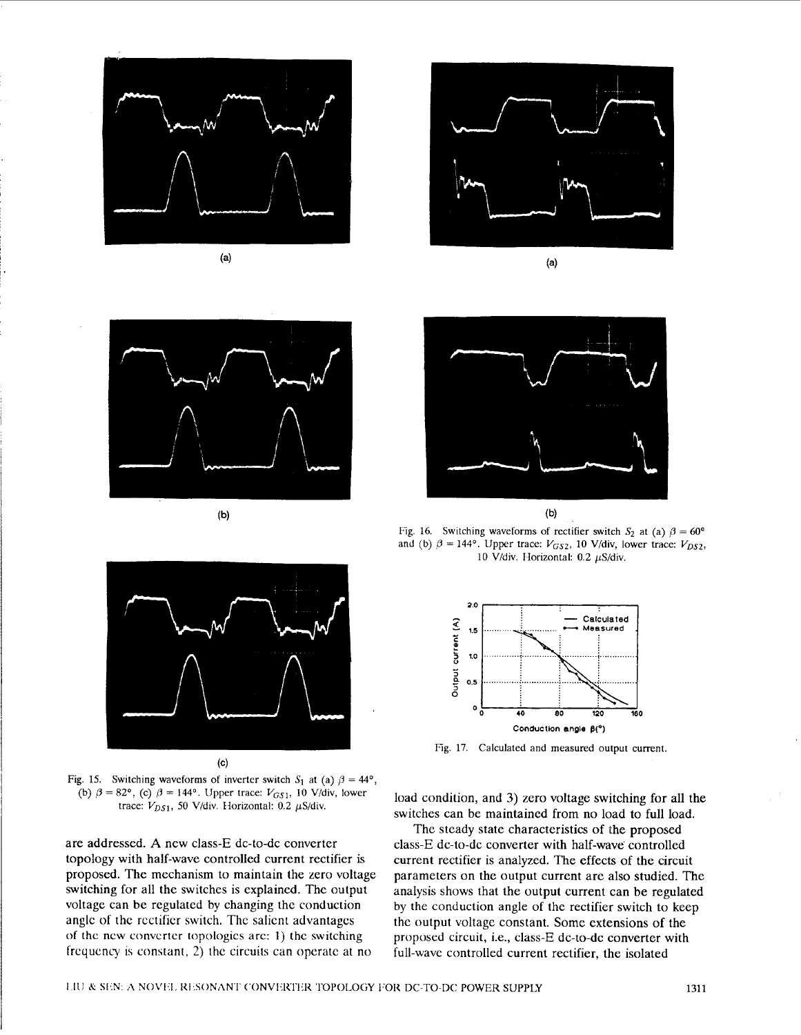<span id="page-10-0"></span>

 $(a)$ 



 $(b)$ 



Fig. 15. Switching waveforms of inverter switch  $\dot{S}_1$  at (a)  $\beta = 44^\circ$ , **(b)**  $\beta = 82^{\circ}$ , **(c)**  $\beta = 144^{\circ}$ . Upper trace:  $V_{GS1}$ , 10 V/div, lower trace:  $V_{DS1}$ , 50 V/div. Horizontal: 0.2  $\mu$ S/div.

are addressed. **A** new class-E dc-to-dc converter topology with half-wave controlled current rectifier is proposed. The mechanism to maintain the zero voltage switching for all the switches is explained. The output voltage can **be** regulated by changing the conduction anglc of the rcctifier switch. The salient advantagcs **of** the ncw convcrtcr topologics arc: 1) the switching frequency **IS** constant, 2) the circuits can operate at no



 $(a)$ 



Fig. 16. Switching waveforms of rectifier switch  $S_2$  at (a)  $\beta = 60^\circ$ and (b)  $\beta = 144^\circ$ . Upper trace:  $V_{GS2}$ , 10 V/div, lower trace:  $V_{DS2}$ , 10 V/div. Horizontal: **0.2** pS/div.



Fig. 17. Calculated and measured output current.

load condition, and **3)** zero voltage switching for all the switches can be maintained from no load to full load.

The steady state characteristics of the proposed class-E dc-to-dc converter with half-wave controlled current rectifier is analyzed. The effects of the circuit parameters on the output current are also studied. The analysis shows that the output current can be regulated by the conduction angle of the rectifier switch to keep the output voltage constant. Some extensions of the proposed circuit, i.e., class-E dc-to-dc converter with full-wave controlled current rectifier, the isolated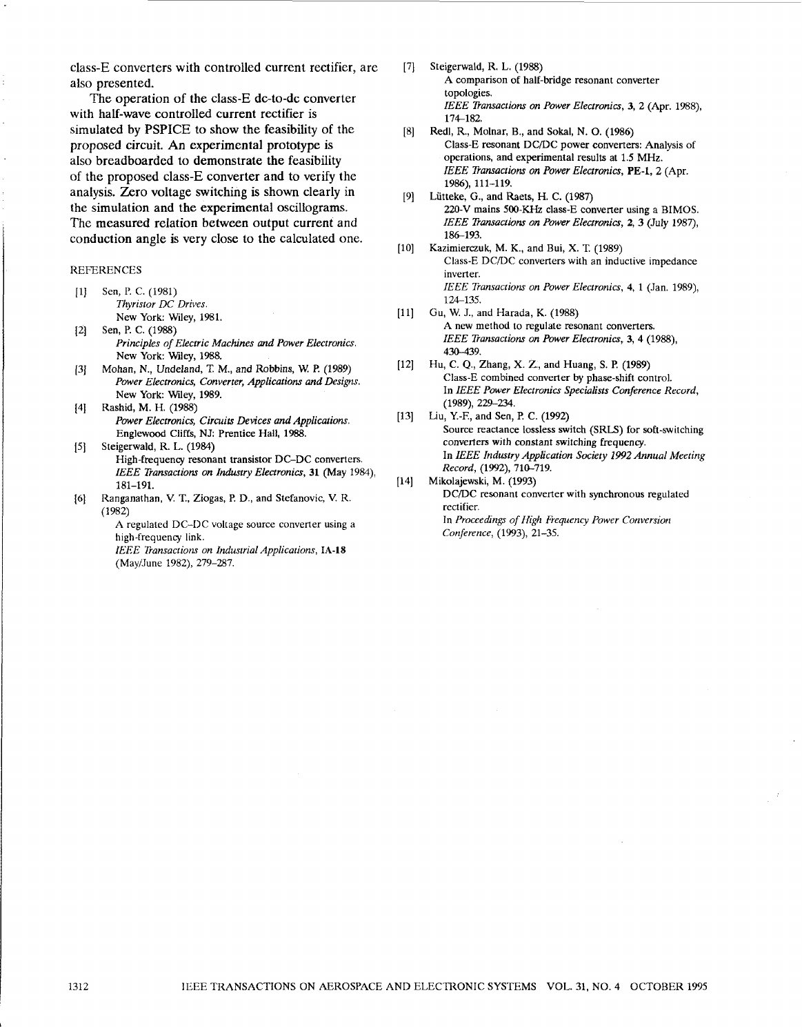**class-E converters with controlled current rectifier, are also presented.** 

**The operation** of **the class-E dc-to-dc converter with half-wave controlled current rectifier is simulated by PSPICE to show the feasibility** of **the proposed circuit. An experimental prototype is**  also **breadboarded to demonstrate the feasibility**  of **the proposed class-E converter and** to **verify the analysis. Zero voltage switching is shown clearly** in **the simulation and the experimental oscillograms. The measured relation between output current and conduction angle is very close to the calculated one.** 

#### REFERENCES

- **[l]** Sen, **I?** C. **(1981)**  *Thyristor DC Drives.*  New York: Wiley, **1981.**
- *Principles of Electric Machines and Power Electronics.* New York: Wiley, 1988. **[2]** Sen, P. C. **(1988)**
- *Power Electronics, Converter, Applications and Designs.*  New York: Wiley, **1989. [3j** Mohan, **N.,** Undeland, 'I M., and Robbins, **W. P. (1989)**
- *Power Electronics, Circuits Devices and Applications.*  Englewood Cliffs, NJ: Prentice Hall, **1988. [4]** Rashid, M. H. **(1988)**
- High-frequency resonant transistor DC-DC converters. *IEEE Transactions on Ihtry Electronics,* **31** (May **1984), [S]** Steigerwald, **R. L. (1984) 181-191.**
- *[6]* Ranganathan, **V.** T., Ziogas, P. D., and Stefanovic, **V.** R. **(1 982)**

A regulated DC-DC voltage source converter using a high-frequency link.

*IEEE Transactions on Industrial Applications,* **IA-18**  (May/June **1982), 279-287.** 

- Steigerwald, R. L. **(1988)**   $\lceil 7 \rceil$ A comparison of half-bridge resonant converter topologies. *IEEE Transactions on Power Electronics, 3, 2* (Apr. **1988), 174-182.**
- Redl, R., Molnar, B., and **Sokal, N.** 0. **(1986)**   $[8]$ Class-E resonant DC/DC power converters: Analysis of operations, and experimental results at **1.5** MHz. *IEEE Transactions on Power Electronics,* **PE-1,** *2* (Apr. **1986), 111-119.**
- Liitteke, G., and Raets, H. C. **(1987) 220-V** mains 500-KHz class-E converter using a BIMOS. *IEEE Transacttiom on Power Elecironics, 2, 3* **(July 1987), 186-193.**
- Class-E DCDC converters with an inductive impedance inverter. *IEEE Transactions on Power Electronics,* **4, 1** (Jan. **1989), 124-135.**  Kazimierczuk M. K., and Bui, **X.** T. **(1989)**
- **A** new method to regulate resonant converters. *IEEE Transactions on Power Electronics, 3,* **4 (1988), 430-439.**  Gu, W. J., and Harada, K. **(1988)**
- Class-E combined converter by phase-shift control. In *IEEE Power Electronics Specialists Conference Record,*  **(1989), 229-234.**  Hu, C. Q., Zhang, **X.** Z., and Huang, **S. P. (1989)**
- Source reactance lossless switch (SRLS) for soft-switching converters with constant switching frequency. **In** *IEEE Industry Application Society 1992 Annual Meeting Record,* **(1992), 710-719.**  Liu, **Y.3,** and Sen, P. C. **(1992)**
- Mikolajewski, M. **(1993)**   $[14]$ DC/DC resonant converter with synchronous regulated rectifier. In *Proceedings of IIigh Frequency Power Conversion Conference,* **(1993), 21-35.**